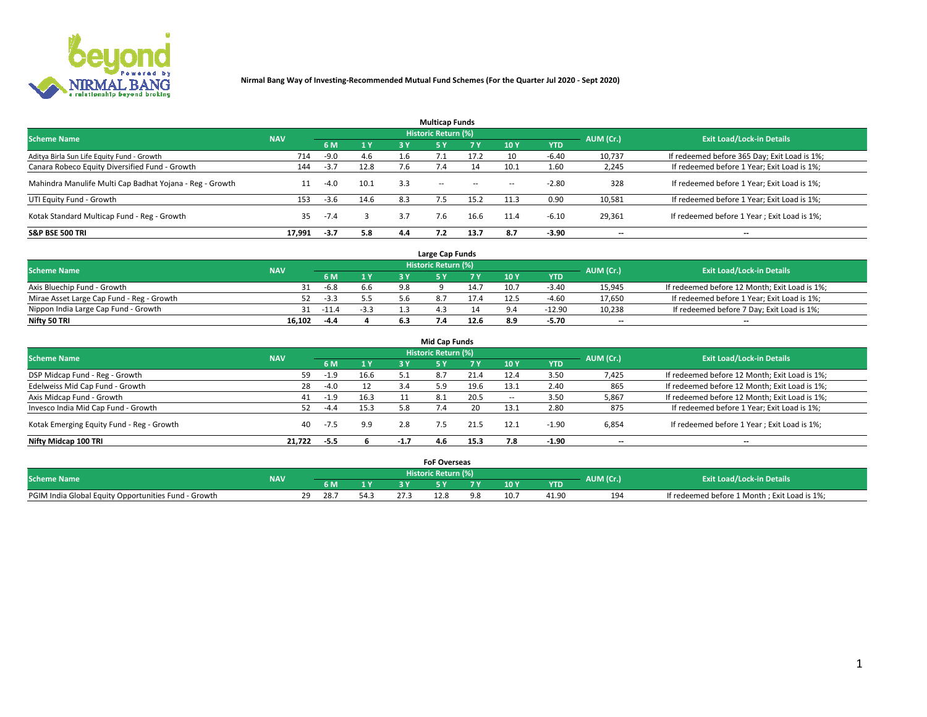

|                                                          |            |        |      |     | <b>Multicap Funds</b> |           |      |            |           |                                              |
|----------------------------------------------------------|------------|--------|------|-----|-----------------------|-----------|------|------------|-----------|----------------------------------------------|
| <b>Scheme Name</b>                                       | <b>NAV</b> |        |      |     | Historic Return (%)   |           |      |            | AUM (Cr.) | <b>Exit Load/Lock-in Details</b>             |
|                                                          |            | 6 M    | 1Y   | 3 Y | -5 Y                  | <b>7Y</b> | 10Y  | <b>YTD</b> |           |                                              |
| Aditya Birla Sun Life Equity Fund - Growth               | 714        | $-9.0$ | 4.6  |     |                       | 17.7      | 10   | $-6.40$    | 10,737    | If redeemed before 365 Day; Exit Load is 1%; |
| Canara Robeco Equity Diversified Fund - Growth           | 144        | $-3.7$ | 12.8 | 7.6 |                       |           | 10.1 | 1.60       | 2,245     | If redeemed before 1 Year; Exit Load is 1%;  |
| Mahindra Manulife Multi Cap Badhat Yojana - Reg - Growth | 11         | $-4.0$ | 10.1 | 3.3 | $\sim$ $-$            | $\sim$    | $-$  | $-2.80$    | 328       | If redeemed before 1 Year; Exit Load is 1%;  |
| UTI Equity Fund - Growth                                 | 153        | $-3.6$ | 14.6 | 8.3 |                       | 15.2      | 11.3 | 0.90       | 10,581    | If redeemed before 1 Year; Exit Load is 1%;  |
| Kotak Standard Multicap Fund - Reg - Growth              | 35         | $-7.4$ |      | 3.7 | 7.6                   | 16.6      | 11.4 | $-6.10$    | 29,361    | If redeemed before 1 Year; Exit Load is 1%;  |
| <b>S&amp;P BSE 500 TRI</b>                               | 17.991     | $-3.7$ | 5.8  | 4.4 |                       | 13.7      | 8.7  | $-3.90$    | --        | $- -$                                        |

|                                           |            |        |              |    | Large Cap Funds     |      |      |            |                          |                                               |
|-------------------------------------------|------------|--------|--------------|----|---------------------|------|------|------------|--------------------------|-----------------------------------------------|
| <b>Scheme Name</b>                        | <b>NAV</b> |        |              |    | Historic Return (%) |      |      |            | AUM (Cr.)                | <b>Exit Load/Lock-in Details</b>              |
|                                           |            | 6 M    | $\sqrt{1}$ Y |    |                     |      | 10 Y | <b>YTD</b> |                          |                                               |
| Axis Bluechip Fund - Growth               |            | $-6.8$ | 6.6          | 98 |                     | 14.7 | 10.7 | $-3.40$    | 15,945                   | If redeemed before 12 Month; Exit Load is 1%; |
| Mirae Asset Large Cap Fund - Reg - Growth |            | $-3.3$ |              |    |                     | 17.4 |      | $-4.60$    | 17,650                   | If redeemed before 1 Year; Exit Load is 1%;   |
| Nippon India Large Cap Fund - Growth      |            | -11.4  | -3.3         |    |                     |      |      | -12.90     | 10,238                   | If redeemed before 7 Day; Exit Load is 1%;    |
| Nifty 50 TRI                              | 16.102     | $-4.4$ |              |    |                     | 12.6 | 8.9  | -5.70      | $\overline{\phantom{a}}$ | $- -$                                         |

| <b>Mid Cap Funds</b>                      |            |        |      |        |                            |      |            |            |                          |                                               |  |  |  |
|-------------------------------------------|------------|--------|------|--------|----------------------------|------|------------|------------|--------------------------|-----------------------------------------------|--|--|--|
| <b>Scheme Name</b>                        | <b>NAV</b> |        |      |        | <b>Historic Return (%)</b> |      |            |            | AUM (Cr.)                | <b>Exit Load/Lock-in Details</b>              |  |  |  |
|                                           |            | 6 M    | 1 Y  | 3 Y    |                            | 7 V  | <b>10Y</b> | <b>YTD</b> |                          |                                               |  |  |  |
| DSP Midcap Fund - Reg - Growth            | 59         | $-1.9$ | 16.6 |        | 8.7                        | 21.4 | 12.4       | 3.50       | 7,425                    | If redeemed before 12 Month; Exit Load is 1%; |  |  |  |
| Edelweiss Mid Cap Fund - Growth           | 28         | $-4.0$ | 12   | 3.4    | 5.9                        | 19.6 | 13.1       | 2.40       | 865                      | If redeemed before 12 Month; Exit Load is 1%; |  |  |  |
| Axis Midcap Fund - Growth                 | 41         | $-1.9$ | 16.3 |        | -8.1                       | 20.5 | -          | 3.50       | 5,867                    | If redeemed before 12 Month; Exit Load is 1%; |  |  |  |
| Invesco India Mid Cap Fund - Growth       | 52         | $-4.4$ | 15.3 | 5.8    |                            | 20   | 13.1       | 2.80       | 875                      | If redeemed before 1 Year; Exit Load is 1%;   |  |  |  |
| Kotak Emerging Equity Fund - Reg - Growth | 40         | -7.5   | 9.9  | 2.8    |                            | 21.5 | 12.1       | $-1.90$    | 6,854                    | If redeemed before 1 Year; Exit Load is 1%;   |  |  |  |
| Nifty Midcap 100 TRI                      | 21.722     | -5.5   |      | $-1.7$ | 4.6                        | 15.3 |            | -1.90      | $\overline{\phantom{a}}$ | $\overline{\phantom{a}}$                      |  |  |  |

|                                                      |            |      |      |      | <b>FoF Overseas</b> |     |            |           |                                              |
|------------------------------------------------------|------------|------|------|------|---------------------|-----|------------|-----------|----------------------------------------------|
| <b>Scheme Name</b>                                   | <b>NAV</b> |      |      |      | Historic Return (%) |     |            | AUM (Cr.) | <b>Exit Load/Lock-in Details</b>             |
|                                                      |            | 6 M  | 1Y   |      |                     | 10Y | <b>YTD</b> |           |                                              |
| PGIM India Global Equity Opportunities Fund - Growth |            | 28.7 | 54.7 | 27.3 | 22.O                |     | 41.90      | 194       | If redeemed before 1 Month; Exit Load is 1%; |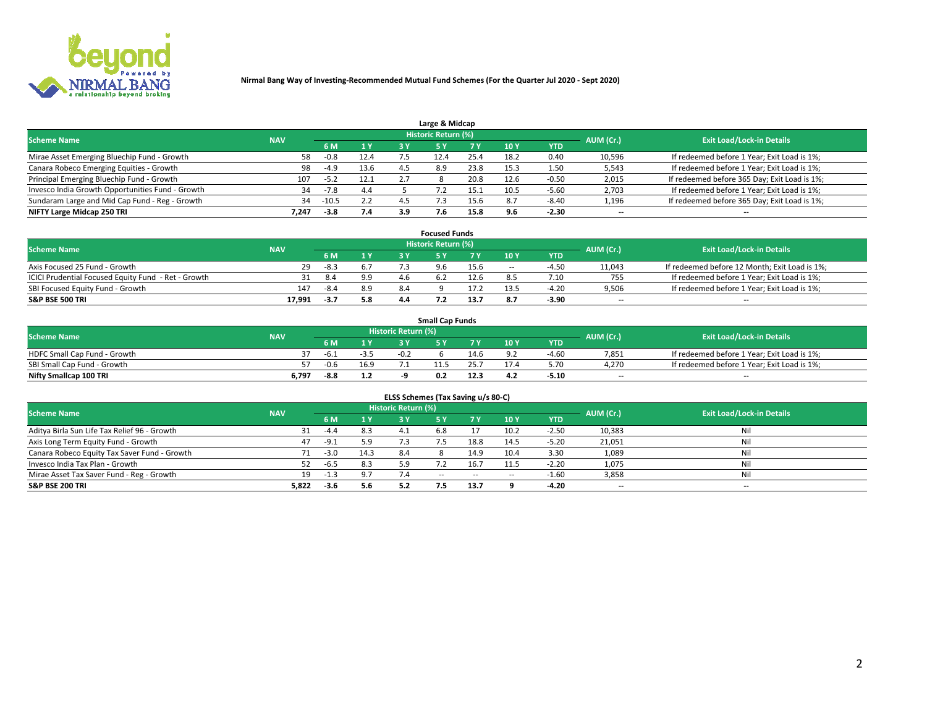

| Large & Midcap                                   |            |         |      |     |                            |      |      |         |                          |                                              |  |  |  |
|--------------------------------------------------|------------|---------|------|-----|----------------------------|------|------|---------|--------------------------|----------------------------------------------|--|--|--|
| <b>Scheme Name</b>                               | <b>NAV</b> |         |      |     | <b>Historic Return (%)</b> |      |      |         | AUM (Cr.)                | <b>Exit Load/Lock-in Details</b>             |  |  |  |
|                                                  |            | 6 M     | 1Y   | 3 Y |                            | 7 V  | 10Y  | YTD     |                          |                                              |  |  |  |
| Mirae Asset Emerging Bluechip Fund - Growth      | 58         | $-0.8$  | 12.4 |     | 12.4                       | 25.4 | 18.2 | 0.40    | 10,596                   | If redeemed before 1 Year; Exit Load is 1%;  |  |  |  |
| Canara Robeco Emerging Equities - Growth         | 98         | $-4.9$  | 13.6 |     | 8.9                        | 23.8 | 15.3 | 1.50    | 5,543                    | If redeemed before 1 Year; Exit Load is 1%;  |  |  |  |
| Principal Emerging Bluechip Fund - Growth        | 107        | $-5.2$  | 12.1 |     |                            | 20.8 | 12.6 | $-0.50$ | 2,015                    | If redeemed before 365 Day; Exit Load is 1%; |  |  |  |
| Invesco India Growth Opportunities Fund - Growth | 34         | $-7.8$  | 4.4  |     |                            |      | 10.5 | $-5.60$ | 2,703                    | If redeemed before 1 Year; Exit Load is 1%;  |  |  |  |
| Sundaram Large and Mid Cap Fund - Reg - Growth   | 34         | $-10.5$ | 2.2  |     |                            |      | 8.7  | $-8.40$ | 1,196                    | If redeemed before 365 Day; Exit Load is 1%; |  |  |  |
| NIFTY Large Midcap 250 TRI                       | 7.247      | $-3.8$  | 7.4  | 3.9 |                            | 15.8 |      | $-2.30$ | $\overline{\phantom{a}}$ | $- -$                                        |  |  |  |

|                                                     |            |        |     |     | <b>Focused Funds</b> |      |     |            |                          |                                               |
|-----------------------------------------------------|------------|--------|-----|-----|----------------------|------|-----|------------|--------------------------|-----------------------------------------------|
| <b>Scheme Name</b>                                  | <b>NAV</b> |        |     |     | Historic Return (%)  |      |     |            | AUM (Cr.)                | <b>Exit Load/Lock-in Details</b>              |
|                                                     |            | 6 M    | 1 Y |     |                      |      | 10Y | <b>YTD</b> |                          |                                               |
| Axis Focused 25 Fund - Growth                       | 29         | $-8.3$ |     |     |                      | 15.6 | $-$ | $-4.5c$    | 11,043                   | If redeemed before 12 Month; Exit Load is 1%; |
| ICICI Prudential Focused Equity Fund - Ret - Growth |            | 8.4    | 9.9 |     |                      | 12.6 |     | 7.10       | 755                      | If redeemed before 1 Year; Exit Load is 1%;   |
| SBI Focused Equity Fund - Growth                    | 147        | -8.4   | 8.9 | 8.4 |                      |      |     | -4.20      | 9,506                    | If redeemed before 1 Year; Exit Load is 1%;   |
| <b>S&amp;P BSE 500 TRI</b>                          | 17,991     | $-3.7$ | 5.8 |     |                      | 13.7 | 8.7 | $-3.90$    | $\overline{\phantom{a}}$ | $- -$                                         |

| <b>Small Cap Funds</b>       |            |        |        |                     |     |      |        |            |           |                                             |  |  |
|------------------------------|------------|--------|--------|---------------------|-----|------|--------|------------|-----------|---------------------------------------------|--|--|
| <b>Scheme Name</b>           | <b>NAV</b> |        |        | Historic Return (%) |     |      |        |            | AUM (Cr.) | <b>Exit Load/Lock-in Details</b>            |  |  |
|                              |            | 6 M    | 1 Y    |                     |     |      | $-10Y$ | <b>YTD</b> |           |                                             |  |  |
| HDFC Small Cap Fund - Growth |            | -b.⊥   | $-3.5$ | $-0.2$              |     | 4.6  |        | -4.60      | 7,851     | If redeemed before 1 Year; Exit Load is 1%; |  |  |
| SBI Small Cap Fund - Growth  |            | $-0.6$ | 16.9   |                     |     |      |        | 5.70       | 4.270     | If redeemed before 1 Year; Exit Load is 1%; |  |  |
| Nifty Smallcap 100 TRI       | 6,797      | $-8.8$ | 1.2    |                     | 0.2 | 12.3 | 4.2    | $-5.10$    | $- -$     | $- -$                                       |  |  |

| ELSS Schemes (Tax Saving u/s 80-C)           |            |        |      |                            |            |        |        |            |           |                                  |  |  |  |  |
|----------------------------------------------|------------|--------|------|----------------------------|------------|--------|--------|------------|-----------|----------------------------------|--|--|--|--|
| <b>Scheme Name</b>                           | <b>NAV</b> |        |      | <b>Historic Return (%)</b> |            |        |        |            | AUM (Cr.) | <b>Exit Load/Lock-in Details</b> |  |  |  |  |
|                                              |            | 6 M    |      |                            |            | 7 Y    | 10 Y   | <b>YTD</b> |           |                                  |  |  |  |  |
| Aditya Birla Sun Life Tax Relief 96 - Growth |            | $-4.4$ | 8.3  |                            | 5.8        |        | 10.2   | $-2.50$    | 10,383    | Nil                              |  |  |  |  |
| Axis Long Term Equity Fund - Growth          | 47         | $-9.1$ | 5.9  | 7.3                        | - 5        | 18.8   | 14.5   | $-5.20$    | 21,051    | Nil                              |  |  |  |  |
| Canara Robeco Equity Tax Saver Fund - Growth |            | $-3.0$ | 14.3 | 8.4                        |            | 14.9   | 10.4   | 3.30       | 1,089     | Nil                              |  |  |  |  |
| Invesco India Tax Plan - Growth              |            | $-6.5$ | 8.3  | 5.9                        |            | 16.7   | 11.5   | $-2.20$    | 1,075     | Nil                              |  |  |  |  |
| Mirae Asset Tax Saver Fund - Reg - Growth    | 19         | $-1.3$ | 9.7  | 7.4                        | $\sim$ $-$ | $\sim$ | $\sim$ | $-1.60$    | 3,858     | Nil                              |  |  |  |  |
| S&P BSE 200 TRI                              | 5,822      | $-3.6$ | 5.6  | 5.2                        | '.5        | 13.7   |        | $-4.20$    | --        | $- -$                            |  |  |  |  |

# 2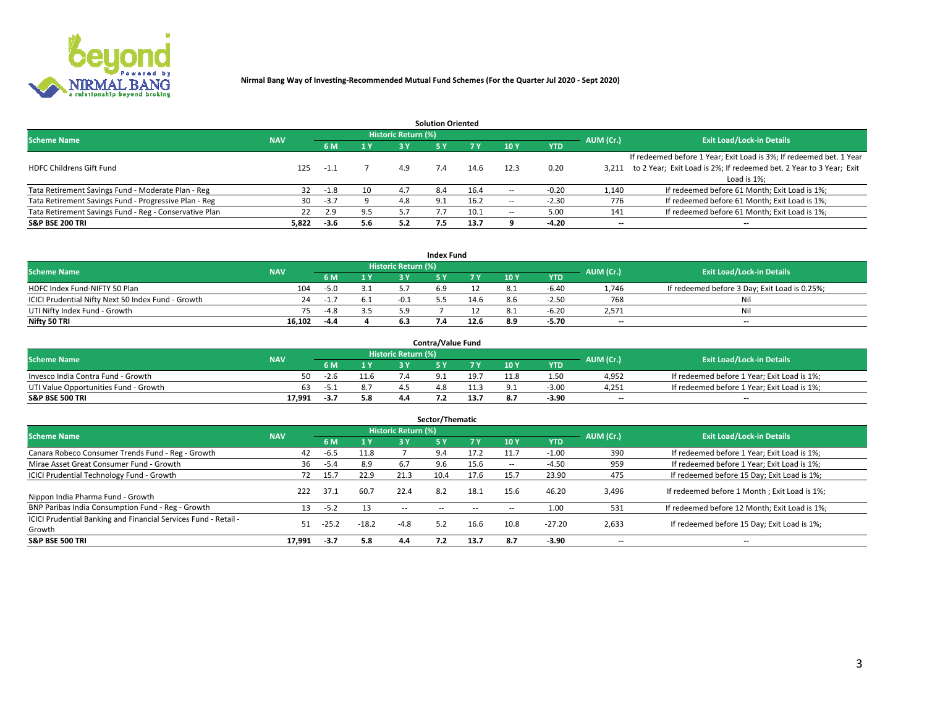

| <b>Solution Oriented</b>                               |            |            |     |                            |     |      |                          |            |                          |                                                                     |  |  |  |  |
|--------------------------------------------------------|------------|------------|-----|----------------------------|-----|------|--------------------------|------------|--------------------------|---------------------------------------------------------------------|--|--|--|--|
| <b>Scheme Name</b>                                     | <b>NAV</b> |            |     | <b>Historic Return (%)</b> |     |      |                          |            | AUM (Cr.)                | <b>Exit Load/Lock-in Details</b>                                    |  |  |  |  |
|                                                        |            | <b>6 M</b> | 1 Y | 3 Y                        |     |      | 10Y                      | <b>YTD</b> |                          |                                                                     |  |  |  |  |
|                                                        |            |            |     |                            |     |      |                          |            |                          | If redeemed before 1 Year; Exit Load is 3%; If redeemed bet. 1 Year |  |  |  |  |
| <b>HDFC Childrens Gift Fund</b>                        | 125        | $-1.1$     |     | 4.9                        |     | 14.6 | 12.3                     | 0.20       | 3.211                    | to 2 Year; Exit Load is 2%; If redeemed bet. 2 Year to 3 Year; Exit |  |  |  |  |
|                                                        |            |            |     |                            |     |      |                          |            |                          | Load is 1%;                                                         |  |  |  |  |
| Tata Retirement Savings Fund - Moderate Plan - Reg     | 32         | $-1.8$     | 10  | 4.7                        | 8.4 | 16.4 | --                       | $-0.20$    | 1,140                    | If redeemed before 61 Month; Exit Load is 1%;                       |  |  |  |  |
| Tata Retirement Savings Fund - Progressive Plan - Reg  | 30         | $-3.7$     |     | 4.8                        | 9.1 | 16.2 | $\overline{\phantom{a}}$ | $-2.30$    | 776                      | If redeemed before 61 Month; Exit Load is 1%;                       |  |  |  |  |
| Tata Retirement Savings Fund - Reg - Conservative Plan | 22         | 2.9        | 9.5 |                            |     | 10.1 | --                       | 5.00       | 141                      | If redeemed before 61 Month; Exit Load is 1%;                       |  |  |  |  |
| S&P BSE 200 TRI                                        | 5,822      | $-3.6$     | 5.6 | 5.2                        | 7.5 | 13.7 |                          | $-4.20$    | $\overline{\phantom{a}}$ | $- -$                                                               |  |  |  |  |

|                                                    |            |        |                |                            | <b>Index Fund</b> |      |      |            |                          |                                               |
|----------------------------------------------------|------------|--------|----------------|----------------------------|-------------------|------|------|------------|--------------------------|-----------------------------------------------|
| <b>Scheme Name</b>                                 | <b>NAV</b> |        |                | <b>Historic Return (%)</b> |                   |      |      |            | AUM (Cr.)                | <b>Exit Load/Lock-in Details</b>              |
|                                                    |            |        | $\sqrt{1}$ $V$ | 2 V                        |                   | 7 V  | 10 Y | <b>YTD</b> |                          |                                               |
| HDFC Index Fund-NIFTY 50 Plan                      | 104        | $-5.0$ | 3.1            |                            |                   |      |      | $-6.40$    | 1.746                    | If redeemed before 3 Day; Exit Load is 0.25%; |
| ICICI Prudential Nifty Next 50 Index Fund - Growth | 24         | -1.    |                |                            |                   | 14.6 |      | $-2.5C$    | 768                      | Nil                                           |
| UTI Nifty Index Fund - Growth                      |            | $-4.8$ |                |                            |                   |      |      | -6.20      | 2,571                    | Nil                                           |
| Nifty 50 TRI                                       | 16.102     | -4.4   |                |                            |                   | 12.6 | 8.9  | $-5.70$    | $\overline{\phantom{a}}$ | $- -$                                         |

|                                       |            |       |     |                            | <b>Contra/Value Fund</b> |      |      |            |                          |                                             |
|---------------------------------------|------------|-------|-----|----------------------------|--------------------------|------|------|------------|--------------------------|---------------------------------------------|
| <b>Scheme Name</b>                    | <b>NAV</b> |       |     | <b>Historic Return (%)</b> |                          |      |      |            | AUM (Cr.)                | <b>Exit Load/Lock-in Details</b>            |
|                                       |            |       | 1 V |                            |                          | 7 V  | 10Y  | <b>YTD</b> |                          |                                             |
| Invesco India Contra Fund - Growth    | 50         | -2.t  |     |                            |                          | 19.7 | 11.8 | 1.50       | 4,952                    | If redeemed before 1 Year; Exit Load is 1%; |
| UTI Value Opportunities Fund - Growth | 63         | בכל - |     |                            |                          |      |      | $-3.0C$    | 4,251                    | If redeemed before 1 Year; Exit Load is 1%; |
| <b>S&amp;P BSE 500 TRI</b>            | 17.991     | -3.7  | 5.8 |                            |                          |      |      | $-3.90$    | $\overline{\phantom{a}}$ | $- -$                                       |

| Sector/Thematic                                                           |            |         |         |                            |           |      |                          |            |           |                                               |  |  |  |  |
|---------------------------------------------------------------------------|------------|---------|---------|----------------------------|-----------|------|--------------------------|------------|-----------|-----------------------------------------------|--|--|--|--|
| <b>Scheme Name</b>                                                        | <b>NAV</b> |         |         | <b>Historic Return (%)</b> |           |      |                          |            | AUM (Cr.) | <b>Exit Load/Lock-in Details</b>              |  |  |  |  |
|                                                                           |            | 6 M     | 1 Y     | 3 Y                        | <b>5Y</b> | 7 Y  | 10Y                      | <b>YTD</b> |           |                                               |  |  |  |  |
| Canara Robeco Consumer Trends Fund - Reg - Growth                         | 42         | -6.5    | 11.8    |                            | 9.4       | 17.2 | 11.7                     | $-1.00$    | 390       | If redeemed before 1 Year; Exit Load is 1%;   |  |  |  |  |
| Mirae Asset Great Consumer Fund - Growth                                  | 36         | $-5.4$  | 8.9     | 6.7                        | 9.6       | 15.6 | $\overline{\phantom{a}}$ | $-4.50$    | 959       | If redeemed before 1 Year; Exit Load is 1%;   |  |  |  |  |
| <b>ICICI Prudential Technology Fund - Growth</b>                          | 72         | 15.7    | 22.9    | 21.3                       | 10.4      | 17.6 | 15.7                     | 23.90      | 475       | If redeemed before 15 Day; Exit Load is 1%;   |  |  |  |  |
| Nippon India Pharma Fund - Growth                                         | 222        | 37.1    | 60.7    | 22.4                       | 8.2       | 18.1 | 15.6                     | 46.20      | 3,496     | If redeemed before 1 Month; Exit Load is 1%;  |  |  |  |  |
| BNP Paribas India Consumption Fund - Reg - Growth                         |            | $-5.2$  | 13      | $-$                        |           | --   | -                        | 1.00       | 531       | If redeemed before 12 Month; Exit Load is 1%; |  |  |  |  |
| ICICI Prudential Banking and Financial Services Fund - Retail -<br>Growth | 51         | $-25.2$ | $-18.2$ | $-4.8$                     |           | 16.6 | 10.8                     | $-27.20$   | 2,633     | If redeemed before 15 Day; Exit Load is 1%;   |  |  |  |  |
| <b>S&amp;P BSE 500 TRI</b>                                                | 17,991     | $-3.7$  | 5.8     | 4.4                        | 7.2       | 13.7 | 8.7                      | $-3.90$    |           | --                                            |  |  |  |  |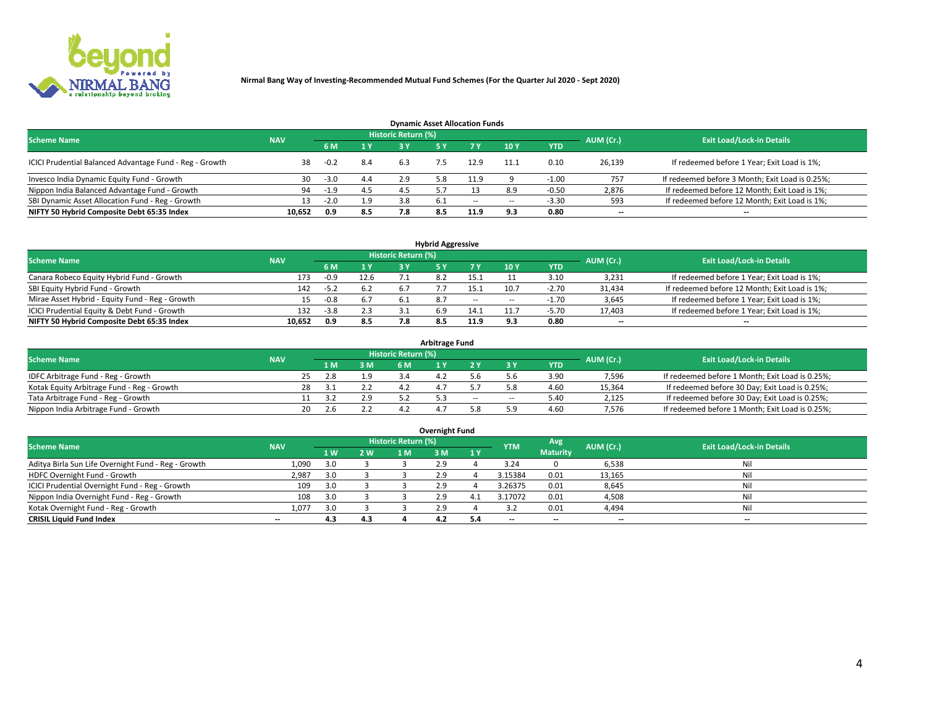

| <b>Dynamic Asset Allocation Funds</b>                   |            |        |     |                            |       |        |                          |            |           |                                                 |  |  |  |  |
|---------------------------------------------------------|------------|--------|-----|----------------------------|-------|--------|--------------------------|------------|-----------|-------------------------------------------------|--|--|--|--|
| <b>Scheme Name</b>                                      | <b>NAV</b> |        |     | <b>Historic Return (%)</b> |       |        |                          |            | AUM (Cr.) | <b>Exit Load/Lock-in Details</b>                |  |  |  |  |
|                                                         |            | 6 M    | 1 Y |                            |       |        | $-10Y$                   | <b>YTD</b> |           |                                                 |  |  |  |  |
| ICICI Prudential Balanced Advantage Fund - Reg - Growth |            | $-0.2$ | 8.4 | 6.3                        |       | 12.9   | 11.1                     | 0.10       | 26,139    | If redeemed before 1 Year; Exit Load is 1%;     |  |  |  |  |
| Invesco India Dynamic Equity Fund - Growth              | 30         | $-3.0$ | 4.4 | 2.9                        | 5.8   | 11.9   |                          | $-1.00$    | 757       | If redeemed before 3 Month; Exit Load is 0.25%; |  |  |  |  |
| Nippon India Balanced Advantage Fund - Growth           | 94         | $-1.9$ | 4.5 | 4.5                        |       |        | 8.9                      | $-0.50$    | 2,876     | If redeemed before 12 Month; Exit Load is 1%;   |  |  |  |  |
| SBI Dynamic Asset Allocation Fund - Reg - Growth        |            | $-2.0$ | 1.9 | 3.8                        | - 6.1 | $\sim$ | $\overline{\phantom{a}}$ | $-3.30$    | 593       | If redeemed before 12 Month; Exit Load is 1%;   |  |  |  |  |
| NIFTY 50 Hybrid Composite Debt 65:35 Index              | 10,652     | 0.9    | 8.5 | 7.8                        | 8.5   | 11.9   | 9.3                      | 0.80       | $- -$     | $- -$                                           |  |  |  |  |

| <b>Hybrid Aggressive</b>                        |                                                                                                          |        |      |      |     |        |            |            |                          |                                               |  |  |  |  |  |
|-------------------------------------------------|----------------------------------------------------------------------------------------------------------|--------|------|------|-----|--------|------------|------------|--------------------------|-----------------------------------------------|--|--|--|--|--|
|                                                 | Historic Return (%)<br><b>Exit Load/Lock-in Details</b><br><b>Scheme Name</b><br>AUM (Cr.)<br><b>NAV</b> |        |      |      |     |        |            |            |                          |                                               |  |  |  |  |  |
|                                                 |                                                                                                          | 6 M    | 1 Y  | 3 Y  |     | 7 V    | 10Y        | <b>YTD</b> |                          |                                               |  |  |  |  |  |
| Canara Robeco Equity Hybrid Fund - Growth       | 173                                                                                                      | -0.9   | 12.6 |      |     | 15.:   |            | 3.10       | 3,231                    | If redeemed before 1 Year; Exit Load is 1%;   |  |  |  |  |  |
| SBI Equity Hybrid Fund - Growth                 | 142                                                                                                      | $-5.2$ | 6.2  |      |     | 15.1   | 10.7       | $-2.70$    | 31,434                   | If redeemed before 12 Month; Exit Load is 1%; |  |  |  |  |  |
| Mirae Asset Hybrid - Equity Fund - Reg - Growth |                                                                                                          | $-0.8$ | 6.7  | -6.1 | 8.7 | $\sim$ | --         | -1.70      | 3,645                    | If redeemed before 1 Year; Exit Load is 1%;   |  |  |  |  |  |
| ICICI Prudential Equity & Debt Fund - Growth    | 132                                                                                                      | $-3.8$ | 2.3  |      | 6.9 | 14.1   |            | $-5.70$    | 17,403                   | If redeemed before 1 Year; Exit Load is 1%;   |  |  |  |  |  |
| NIFTY 50 Hybrid Composite Debt 65:35 Index      | 10.652                                                                                                   | 0.9    | 8.5  |      |     | 11.9   | $\alpha$ : | 0.80       | $\overline{\phantom{a}}$ | --                                            |  |  |  |  |  |

| <b>Arbitrage Fund</b>                      |                                                         |    |     |     |     |  |     |        |            |           |                                                 |  |  |  |
|--------------------------------------------|---------------------------------------------------------|----|-----|-----|-----|--|-----|--------|------------|-----------|-------------------------------------------------|--|--|--|
|                                            | Historic Return (%)<br><b>Scheme Name</b><br><b>NAV</b> |    |     |     |     |  |     |        |            |           |                                                 |  |  |  |
|                                            |                                                         |    | 4 M | 3 M | 6 M |  |     |        | <b>YTD</b> | AUM (Cr.) | <b>Exit Load/Lock-in Details</b>                |  |  |  |
| IDFC Arbitrage Fund - Reg - Growth         |                                                         | 25 | 2.8 | 1.9 |     |  |     |        | 3.90       | 7,596     | If redeemed before 1 Month; Exit Load is 0.25%; |  |  |  |
| Kotak Equity Arbitrage Fund - Reg - Growth |                                                         |    |     |     |     |  |     |        | 4.60       | 15,364    | If redeemed before 30 Day; Exit Load is 0.25%;  |  |  |  |
| Tata Arbitrage Fund - Reg - Growth         |                                                         |    |     | 2.9 |     |  | $-$ | $\sim$ | 5.40       | 2,125     | If redeemed before 30 Day; Exit Load is 0.25%;  |  |  |  |
| Nippon India Arbitrage Fund - Growth       |                                                         |    |     |     |     |  |     | ב ם    | 4.60       | 7.576     | If redeemed before 1 Month; Exit Load is 0.25%; |  |  |  |

| Overnight Fund                                      |            |     |     |                            |     |      |            |                 |                          |                                  |  |  |  |  |
|-----------------------------------------------------|------------|-----|-----|----------------------------|-----|------|------------|-----------------|--------------------------|----------------------------------|--|--|--|--|
| <b>Scheme Name</b>                                  | <b>NAV</b> |     |     | <b>Historic Return (%)</b> |     |      | <b>YTM</b> | Avg             | AUM (Cr.)                | <b>Exit Load/Lock-in Details</b> |  |  |  |  |
|                                                     |            | 1W  | 2 W | 1 M                        | : M | 1Y   |            | <b>Maturity</b> |                          |                                  |  |  |  |  |
| Aditya Birla Sun Life Overnight Fund - Reg - Growth | 1,090      | 3.0 |     |                            |     |      | 3.24       |                 | 6,538                    | Nil                              |  |  |  |  |
| HDFC Overnight Fund - Growth                        | 2,987      | 3.0 |     |                            |     |      | 3.15384    | 0.01            | 13,165                   | Nil                              |  |  |  |  |
| ICICI Prudential Overnight Fund - Reg - Growth      | 109        | 3.0 |     |                            |     |      | 3.26375    | 0.01            | 8,645                    | Nil                              |  |  |  |  |
| Nippon India Overnight Fund - Reg - Growth          | 108        | 3.0 |     |                            | 2.9 | - 4. | 3.17072    | 0.01            | 4,508                    | Nil                              |  |  |  |  |
| Kotak Overnight Fund - Reg - Growth                 | 1.077      | 3.0 |     |                            | 2.9 |      |            | 0.01            | 4,494                    | Nil                              |  |  |  |  |
| <b>CRISIL Liquid Fund Index</b>                     | $- -$      | 4.3 | 4.3 |                            | 4.2 |      | --         | $- -$           | $\overline{\phantom{a}}$ | $- -$                            |  |  |  |  |

#### **Overnight Fund**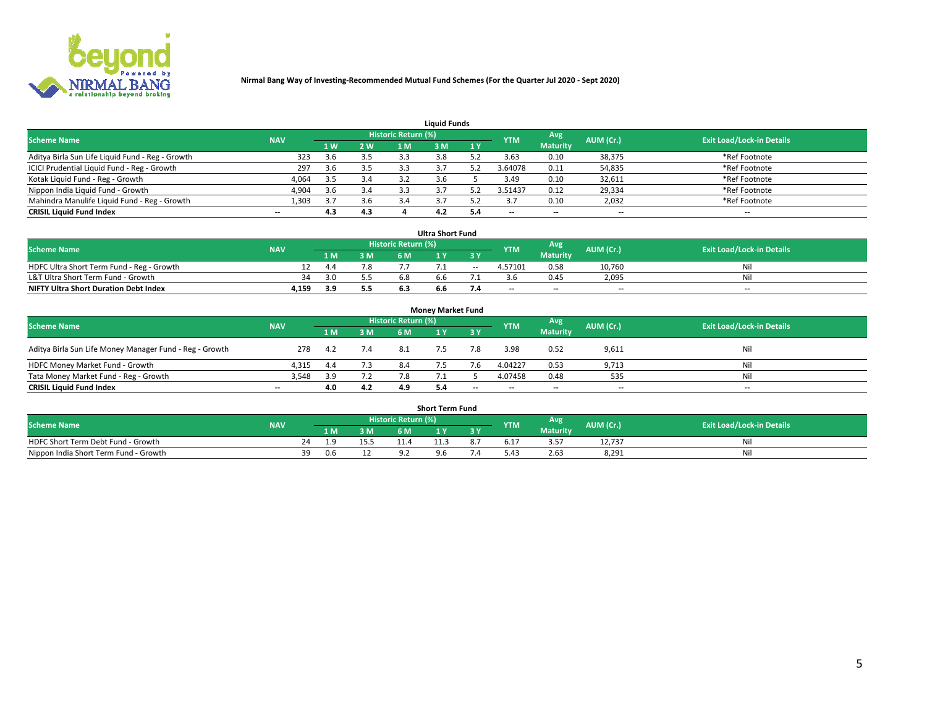

| <b>Liauid Funds</b>                              |            |     |     |                     |     |     |                          |                          |                          |                                  |  |  |  |  |
|--------------------------------------------------|------------|-----|-----|---------------------|-----|-----|--------------------------|--------------------------|--------------------------|----------------------------------|--|--|--|--|
| <b>Scheme Name</b>                               | <b>NAV</b> |     |     | Historic Return (%) |     |     | <b>YTM</b>               | Avg                      | AUM (Cr.)                | <b>Exit Load/Lock-in Details</b> |  |  |  |  |
|                                                  |            | 1 W | 2 W | 1 M                 | ዩ M | 1Y  |                          | <b>Maturity</b>          |                          |                                  |  |  |  |  |
| Aditya Birla Sun Life Liquid Fund - Reg - Growth | 323        | 3.6 | 3.5 | 3.3                 |     |     | 3.63                     | 0.10                     | 38,375                   | *Ref Footnote                    |  |  |  |  |
| ICICI Prudential Liquid Fund - Reg - Growth      | 297        | 3.6 | 3.5 |                     |     |     | 3.64078                  | 0.11                     | 54,835                   | *Ref Footnote                    |  |  |  |  |
| Kotak Liquid Fund - Reg - Growth                 | 4,064      | 3.5 | 3.4 |                     |     |     | 3.49                     | 0.10                     | 32,611                   | *Ref Footnote                    |  |  |  |  |
| Nippon India Liquid Fund - Growth                | 4,904      | 3.6 | 3.4 |                     |     |     | 3.51437                  | 0.12                     | 29,334                   | *Ref Footnote                    |  |  |  |  |
| Mahindra Manulife Liquid Fund - Reg - Growth     | 1,303      |     | 3.6 | 3.4                 |     |     |                          | 0.10                     | 2,032                    | *Ref Footnote                    |  |  |  |  |
| <b>CRISIL Liquid Fund Index</b>                  | $- -$      | 4.3 | 4.3 |                     |     | 5.4 | $\overline{\phantom{a}}$ | $\overline{\phantom{a}}$ | $\overline{\phantom{a}}$ | $\overline{\phantom{m}}$         |  |  |  |  |

| <b>Ultra Short Fund</b>                                                                                                       |       |      |     |     |     |        |         |                 |                          |     |  |  |  |  |
|-------------------------------------------------------------------------------------------------------------------------------|-------|------|-----|-----|-----|--------|---------|-----------------|--------------------------|-----|--|--|--|--|
| Historic Return (%)<br>Avg<br>AUM (Cr.)<br><b>Exit Load/Lock-in Details</b><br><b>Scheme Name</b><br><b>YTM</b><br><b>NAV</b> |       |      |     |     |     |        |         |                 |                          |     |  |  |  |  |
|                                                                                                                               |       | 1 M. | 3 M | 6 M | 1 Y |        |         | <b>Maturity</b> |                          |     |  |  |  |  |
| HDFC Ultra Short Term Fund - Reg - Growth                                                                                     |       | 4.4  | 7.8 |     |     | $\sim$ | 4.57101 | 0.58            | 10.760                   | Ni  |  |  |  |  |
| L&T Ultra Short Term Fund - Growth                                                                                            | 34    | 3 N  |     |     |     |        |         | 0.45            | 2,095                    | Ni  |  |  |  |  |
| <b>NIFTY Ultra Short Duration Debt Index</b>                                                                                  | 4,159 |      | 5.5 |     | b.b |        | $-$     | $- -$           | $\overline{\phantom{a}}$ | $-$ |  |  |  |  |

| <b>Money Market Fund</b>                                |            |     |     |                     |  |       |                          |                 |                          |                                  |  |  |  |  |
|---------------------------------------------------------|------------|-----|-----|---------------------|--|-------|--------------------------|-----------------|--------------------------|----------------------------------|--|--|--|--|
| <b>Scheme Name</b>                                      | <b>NAV</b> |     |     | Historic Return (%) |  |       | <b>YTM</b>               | Avg             | AUM (Cr.)                | <b>Exit Load/Lock-in Details</b> |  |  |  |  |
|                                                         |            | 1 M | 3 M | 6 M                 |  | 3 Y   |                          | <b>Maturity</b> |                          |                                  |  |  |  |  |
| Aditya Birla Sun Life Money Manager Fund - Reg - Growth | 278        | 4.2 | 7.4 | 8.1                 |  |       | 3.98                     | 0.52            | 9,611                    | Nil                              |  |  |  |  |
| HDFC Money Market Fund - Growth                         | 4.315      | 4.4 | 7.3 | 8.4                 |  |       | 4.04227                  | 0.53            | 9,713                    | Nil                              |  |  |  |  |
| Tata Money Market Fund - Reg - Growth                   | 3,548      | 3.9 | 7.2 |                     |  |       | 4.07458                  | 0.48            | 535                      | Nil                              |  |  |  |  |
| <b>CRISIL Liquid Fund Index</b>                         | $- -$      | 4.0 | 4.2 | 4.9                 |  | $- -$ | $\overline{\phantom{a}}$ | $- -$           | $\overline{\phantom{a}}$ | $\overline{\phantom{a}}$         |  |  |  |  |

|                                       | <b>Short Term Fund</b> |      |     |                     |      |     |      |                          |           |                                  |  |  |  |  |  |
|---------------------------------------|------------------------|------|-----|---------------------|------|-----|------|--------------------------|-----------|----------------------------------|--|--|--|--|--|
| <b>Scheme Name</b>                    | <b>NAV</b>             |      |     | Historic Return (%) |      |     | YTM  | Avg                      | AUM (Cr.) | <b>Exit Load/Lock-in Details</b> |  |  |  |  |  |
|                                       |                        | 1 M. | 3 M | 6 M                 | l M  | 2 V |      | <b>Maturity</b>          |           |                                  |  |  |  |  |  |
| HDFC Short Term Debt Fund - Growth    |                        |      |     |                     | 11.3 |     | 5.17 | . . <del>.</del><br>3.5, | 12,737    | N                                |  |  |  |  |  |
| Nippon India Short Term Fund - Growth | 39                     | 0.6  | ᅩᄼ  |                     |      |     | 4۰.د | 2.63                     | 8,291     | M                                |  |  |  |  |  |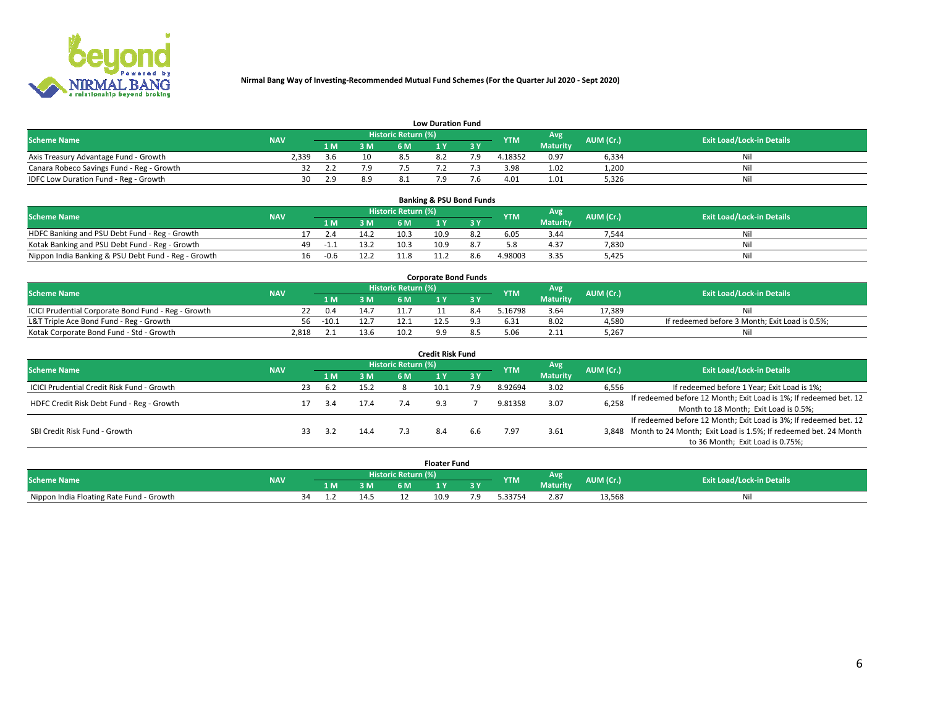

|                                           | <b>Low Duration Fund</b> |      |     |                     |     |     |            |                 |           |                                  |  |  |  |  |  |
|-------------------------------------------|--------------------------|------|-----|---------------------|-----|-----|------------|-----------------|-----------|----------------------------------|--|--|--|--|--|
| <b>Scheme Name</b>                        | <b>NAV</b>               |      |     | Historic Return (%) |     |     | <b>YTM</b> | Avg             | AUM (Cr.) | <b>Exit Load/Lock-in Details</b> |  |  |  |  |  |
|                                           |                          | L M. | 3 M |                     |     | 3 Y |            | <b>Maturity</b> |           |                                  |  |  |  |  |  |
| Axis Treasury Advantage Fund - Growth     | 2.339                    | 3 6  | 10  |                     | 8.2 |     | 4.18352    | 0.97            | 6,334     | Nil                              |  |  |  |  |  |
| Canara Robeco Savings Fund - Reg - Growth |                          |      | 7.9 |                     |     |     | 3.98       | 1.02            | 1,200     | Nil                              |  |  |  |  |  |
| IDFC Low Duration Fund - Reg - Growth     | 30                       | , q  | 8.9 |                     |     |     | 4.01       | 1.01            | 5,326     | Nil                              |  |  |  |  |  |

| <b>Banking &amp; PSU Bond Funds</b>                                                                                                  |  |    |        |      |      |      |     |         |                 |       |     |  |  |  |
|--------------------------------------------------------------------------------------------------------------------------------------|--|----|--------|------|------|------|-----|---------|-----------------|-------|-----|--|--|--|
| <b>Historic Return (%)</b><br>Avg<br><b>Exit Load/Lock-in Details</b><br><b>Scheme Name</b><br>AUM (Cr.)<br><b>NAV</b><br><b>YTM</b> |  |    |        |      |      |      |     |         |                 |       |     |  |  |  |
|                                                                                                                                      |  |    |        | 3 M  | 6 M  |      |     |         | <b>Maturity</b> |       |     |  |  |  |
| HDFC Banking and PSU Debt Fund - Reg - Growth                                                                                        |  |    | 2.4    | 14.2 | 10.3 | 10.9 | 8.2 | 6.05    | 3.44            | 7.544 | Ni  |  |  |  |
| Kotak Banking and PSU Debt Fund - Reg - Growth                                                                                       |  | 49 | - 1. 1 | 13.2 | 10.3 | 10.9 |     |         | 4.37            | 7,830 | Nil |  |  |  |
| Nippon India Banking & PSU Debt Fund - Reg - Growth                                                                                  |  | 16 | -0.6   | 12.2 |      |      |     | 4.98003 | 3.35            | 5.425 | Ni  |  |  |  |

| <b>Corporate Bond Funds</b>                         |            |                                                              |      |      |                                  |  |        |                 |        |                                                |  |  |  |  |
|-----------------------------------------------------|------------|--------------------------------------------------------------|------|------|----------------------------------|--|--------|-----------------|--------|------------------------------------------------|--|--|--|--|
| <b>Scheme Name</b>                                  | <b>NAV</b> | <b>Historic Return (%)</b><br>Avg<br>AUM (Cr.)<br><b>YTM</b> |      |      | <b>Exit Load/Lock-in Details</b> |  |        |                 |        |                                                |  |  |  |  |
|                                                     |            | 1 M                                                          | 3 M  | 6 M  |                                  |  |        | <b>Maturity</b> |        |                                                |  |  |  |  |
| ICICI Prudential Corporate Bond Fund - Reg - Growth |            | 0.4                                                          | 14.1 |      |                                  |  | .16798 | 3.64            | 17.389 |                                                |  |  |  |  |
| L&T Triple Ace Bond Fund - Reg - Growth             | 56.        | $-10.1$                                                      | 12.7 |      | 12.5                             |  | i.31   | 8.02            | 4,580  | If redeemed before 3 Month; Exit Load is 0.5%; |  |  |  |  |
| Kotak Corporate Bond Fund - Std - Growth            | 2.818      |                                                              | 13.6 | 10.2 |                                  |  | ፡ ዐF   | 2.11            | 5.267  | Νi                                             |  |  |  |  |

| <b>Credit Risk Fund</b>                    |            |    |     |      |                            |      |           |            |                 |           |                                                                       |  |  |  |
|--------------------------------------------|------------|----|-----|------|----------------------------|------|-----------|------------|-----------------|-----------|-----------------------------------------------------------------------|--|--|--|
| <b>Scheme Name</b>                         | <b>NAV</b> |    |     |      | <b>Historic Return (%)</b> |      |           | <b>YTM</b> | Avg             | AUM (Cr.) | <b>Exit Load/Lock-in Details</b>                                      |  |  |  |
|                                            |            |    | 1 M | 3 M  | 6 M                        |      | <b>3Y</b> |            | <b>Maturity</b> |           |                                                                       |  |  |  |
| ICICI Prudential Credit Risk Fund - Growth |            | 23 | 6.2 | 15.2 |                            | 10.1 | 7.9       | 8.92694    | 3.02            | 6,556     | If redeemed before 1 Year; Exit Load is 1%;                           |  |  |  |
| HDFC Credit Risk Debt Fund - Reg - Growth  |            |    |     | 17.4 |                            |      |           | 9.81358    | 3.07            | 6,258     | If redeemed before 12 Month; Exit Load is 1%; If redeemed bet. 12     |  |  |  |
|                                            |            |    |     |      |                            |      |           |            |                 |           | Month to 18 Month; Exit Load is 0.5%;                                 |  |  |  |
|                                            |            |    |     |      |                            |      |           |            |                 |           | If redeemed before 12 Month; Exit Load is 3%; If redeemed bet. 12     |  |  |  |
| SBI Credit Risk Fund - Growth              |            |    | 3.2 | 14.4 |                            |      |           | '.97       | 3.61            |           | 3,848 Month to 24 Month; Exit Load is 1.5%; If redeemed bet. 24 Month |  |  |  |
|                                            |            |    |     |      |                            |      |           |            |                 |           | to 36 Month; Exit Load is 0.75%;                                      |  |  |  |

| <b>Floater Fund</b>                      |            |    |     |      |                     |      |    |            |                 |           |                                  |
|------------------------------------------|------------|----|-----|------|---------------------|------|----|------------|-----------------|-----------|----------------------------------|
| <b>Scheme Name</b>                       | <b>NAV</b> |    |     |      | Historic Return (%) |      |    | <b>YTM</b> | Avg             | AUM (Cr.) | <b>Exit Load/Lock-in Details</b> |
|                                          |            |    | 1 M | ЗM   | 6 M                 | .    | .  |            | <b>Maturity</b> |           |                                  |
| Nippon India Floating Rate Fund - Growth |            | 34 |     | 14.5 |                     | 10.9 | .9 | $-33754$   | 2.87            | 13,568    | NL                               |